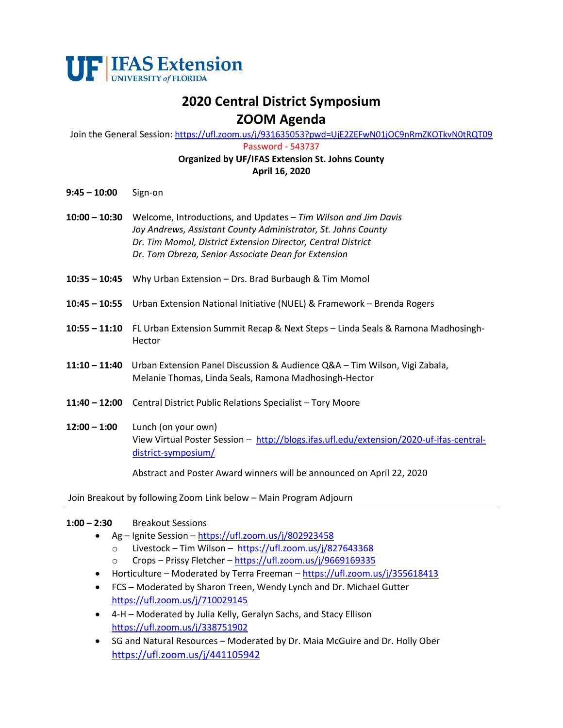

# **2020 Central District Symposium ZOOM Agenda**

Join the General Session: <https://ufl.zoom.us/j/931635053?pwd=UjE2ZEFwN01jOC9nRmZKOTkvN0tRQT09>

Password - 543737

#### **Organized by UF/IFAS Extension St. Johns County April 16, 2020**

- **9:45 – 10:00** Sign-on
- **10:00 – 10:30** Welcome, Introductions, and Updates *Tim Wilson and Jim Davis Joy Andrews, Assistant County Administrator, St. Johns County Dr. Tim Momol, District Extension Director, Central District Dr. Tom Obreza, Senior Associate Dean for Extension*
- **10:35 – 10:45** Why Urban Extension Drs. Brad Burbaugh & Tim Momol
- **10:45 – 10:55** Urban Extension National Initiative (NUEL) & Framework Brenda Rogers
- **10:55 – 11:10** FL Urban Extension Summit Recap & Next Steps Linda Seals & Ramona Madhosingh-Hector
- **11:10 – 11:40** Urban Extension Panel Discussion & Audience Q&A Tim Wilson, Vigi Zabala, Melanie Thomas, Linda Seals, Ramona Madhosingh-Hector
- **11:40 – 12:00** Central District Public Relations Specialist Tory Moore
- **12:00 – 1:00** Lunch (on your own) View Virtual Poster Session – [http://blogs.ifas.ufl.edu/extension/2020-uf-ifas-central](http://blogs.ifas.ufl.edu/extension/2020-uf-ifas-central-district-symposium/)[district-symposium/](http://blogs.ifas.ufl.edu/extension/2020-uf-ifas-central-district-symposium/)

Abstract and Poster Award winners will be announced on April 22, 2020

Join Breakout by following Zoom Link below – Main Program Adjourn

#### **1:00 – 2:30** Breakout Sessions

- Ag Ignite Session <https://ufl.zoom.us/j/802923458>
	- o Livestock Tim Wilson <https://ufl.zoom.us/j/827643368>
	- o Crops Prissy Fletcher <https://ufl.zoom.us/j/9669169335>
- Horticulture Moderated by Terra Freeman <https://ufl.zoom.us/j/355618413>
- FCS Moderated by Sharon Treen, Wendy Lynch and Dr. Michael Gutter <https://ufl.zoom.us/j/710029145>
- 4-H Moderated by Julia Kelly, Geralyn Sachs, and Stacy Ellison <https://ufl.zoom.us/j/338751902>
- SG and Natural Resources Moderated by Dr. Maia McGuire and Dr. Holly Ober <https://ufl.zoom.us/j/441105942>